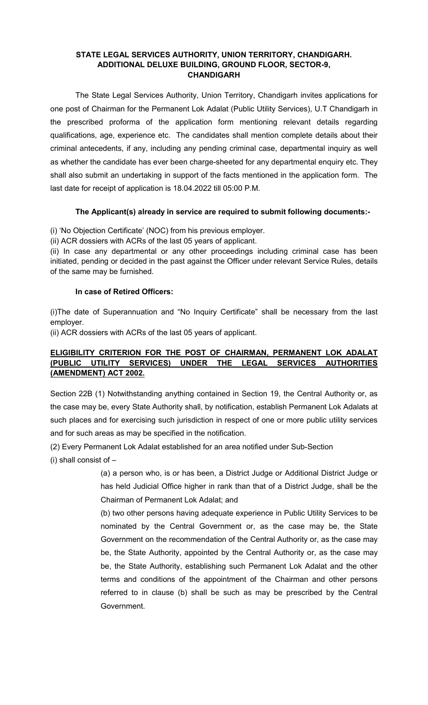#### STATE LEGAL SERVICES AUTHORITY, UNION TERRITORY, CHANDIGARH. ADDITIONAL DELUXE BUILDING, GROUND FLOOR, SECTOR-9, CHANDIGARH

The State Legal Services Authority, Union Territory, Chandigarh invites applications for one post of Chairman for the Permanent Lok Adalat (Public Utility Services), U.T Chandigarh in the prescribed proforma of the application form mentioning relevant details regarding qualifications, age, experience etc. The candidates shall mention complete details about their criminal antecedents, if any, including any pending criminal case, departmental inquiry as well as whether the candidate has ever been charge-sheeted for any departmental enquiry etc. They shall also submit an undertaking in support of the facts mentioned in the application form. The last date for receipt of application is 18.04.2022 till 05:00 P.M.

## The Applicant(s) already in service are required to submit following documents:-

(i) 'No Objection Certificate' (NOC) from his previous employer.

(ii) ACR dossiers with ACRs of the last 05 years of applicant.

(ii) In case any departmental or any other proceedings including criminal case has been initiated, pending or decided in the past against the Officer under relevant Service Rules, details of the same may be furnished.

#### In case of Retired Officers:

(i)The date of Superannuation and "No Inquiry Certificate" shall be necessary from the last employer.

(ii) ACR dossiers with ACRs of the last 05 years of applicant.

## ELIGIBILITY CRITERION FOR THE POST OF CHAIRMAN, PERMANENT LOK ADALAT (PUBLIC UTILITY SERVICES) UNDER THE LEGAL SERVICES AUTHORITIES (AMENDMENT) ACT 2002.

Section 22B (1) Notwithstanding anything contained in Section 19, the Central Authority or, as the case may be, every State Authority shall, by notification, establish Permanent Lok Adalats at such places and for exercising such jurisdiction in respect of one or more public utility services and for such areas as may be specified in the notification.

(2) Every Permanent Lok Adalat established for an area notified under Sub-Section

(i) shall consist of –

(a) a person who, is or has been, a District Judge or Additional District Judge or has held Judicial Office higher in rank than that of a District Judge, shall be the Chairman of Permanent Lok Adalat; and

(b) two other persons having adequate experience in Public Utility Services to be nominated by the Central Government or, as the case may be, the State Government on the recommendation of the Central Authority or, as the case may be, the State Authority, appointed by the Central Authority or, as the case may be, the State Authority, establishing such Permanent Lok Adalat and the other terms and conditions of the appointment of the Chairman and other persons referred to in clause (b) shall be such as may be prescribed by the Central Government.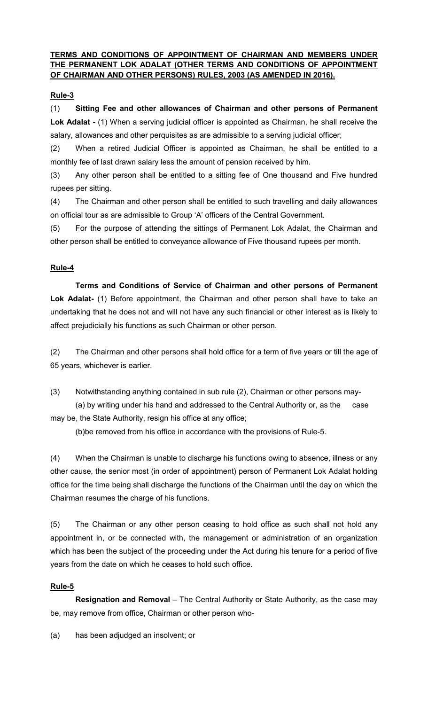## TERMS AND CONDITIONS OF APPOINTMENT OF CHAIRMAN AND MEMBERS UNDER THE PERMANENT LOK ADALAT (OTHER TERMS AND CONDITIONS OF APPOINTMENT OF CHAIRMAN AND OTHER PERSONS) RULES, 2003 (AS AMENDED IN 2016).

## Rule-3

(1) Sitting Fee and other allowances of Chairman and other persons of Permanent Lok Adalat - (1) When a serving judicial officer is appointed as Chairman, he shall receive the salary, allowances and other perquisites as are admissible to a serving judicial officer;

(2) When a retired Judicial Officer is appointed as Chairman, he shall be entitled to a monthly fee of last drawn salary less the amount of pension received by him.

(3) Any other person shall be entitled to a sitting fee of One thousand and Five hundred rupees per sitting.

(4) The Chairman and other person shall be entitled to such travelling and daily allowances on official tour as are admissible to Group 'A' officers of the Central Government.

(5) For the purpose of attending the sittings of Permanent Lok Adalat, the Chairman and other person shall be entitled to conveyance allowance of Five thousand rupees per month.

# Rule-4

Terms and Conditions of Service of Chairman and other persons of Permanent Lok Adalat- (1) Before appointment, the Chairman and other person shall have to take an undertaking that he does not and will not have any such financial or other interest as is likely to affect prejudicially his functions as such Chairman or other person.

(2) The Chairman and other persons shall hold office for a term of five years or till the age of 65 years, whichever is earlier.

(3) Notwithstanding anything contained in sub rule (2), Chairman or other persons may-

(a) by writing under his hand and addressed to the Central Authority or, as the case may be, the State Authority, resign his office at any office;

(b)be removed from his office in accordance with the provisions of Rule-5.

(4) When the Chairman is unable to discharge his functions owing to absence, illness or any other cause, the senior most (in order of appointment) person of Permanent Lok Adalat holding office for the time being shall discharge the functions of the Chairman until the day on which the Chairman resumes the charge of his functions.

(5) The Chairman or any other person ceasing to hold office as such shall not hold any appointment in, or be connected with, the management or administration of an organization which has been the subject of the proceeding under the Act during his tenure for a period of five years from the date on which he ceases to hold such office.

## Rule-5

Resignation and Removal - The Central Authority or State Authority, as the case may be, may remove from office, Chairman or other person who-

(a) has been adjudged an insolvent; or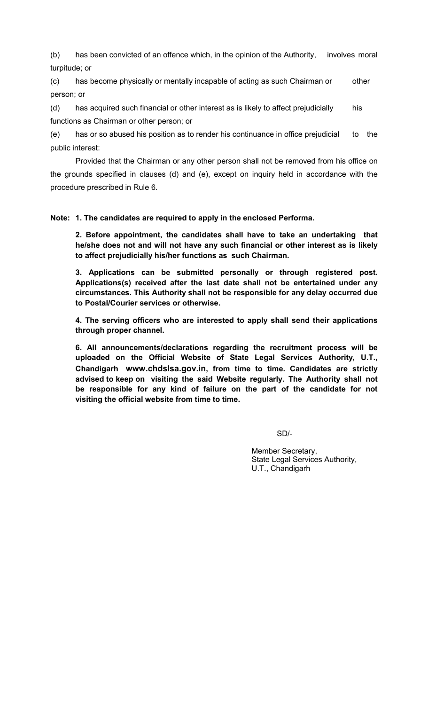(b) has been convicted of an offence which, in the opinion of the Authority, involves moral turpitude; or

(c) has become physically or mentally incapable of acting as such Chairman or other person; or

(d) has acquired such financial or other interest as is likely to affect prejudicially his functions as Chairman or other person; or

(e) has or so abused his position as to render his continuance in office prejudicial to the public interest:

Provided that the Chairman or any other person shall not be removed from his office on the grounds specified in clauses (d) and (e), except on inquiry held in accordance with the procedure prescribed in Rule 6.

#### Note: 1. The candidates are required to apply in the enclosed Performa.

2. Before appointment, the candidates shall have to take an undertaking that he/she does not and will not have any such financial or other interest as is likely to affect prejudicially his/her functions as such Chairman.

3. Applications can be submitted personally or through registered post. Applications(s) received after the last date shall not be entertained under any circumstances. This Authority shall not be responsible for any delay occurred due to Postal/Courier services or otherwise.

4. The serving officers who are interested to apply shall send their applications through proper channel.

6. All announcements/declarations regarding the recruitment process will be uploaded on the Official Website of State Legal Services Authority, U.T., Chandigarh www.chdslsa.gov.in, from time to time. Candidates are strictly advised to keep on visiting the said Website regularly. The Authority shall not be responsible for any kind of failure on the part of the candidate for not visiting the official website from time to time.

SD/-

Member Secretary, State Legal Services Authority, U.T., Chandigarh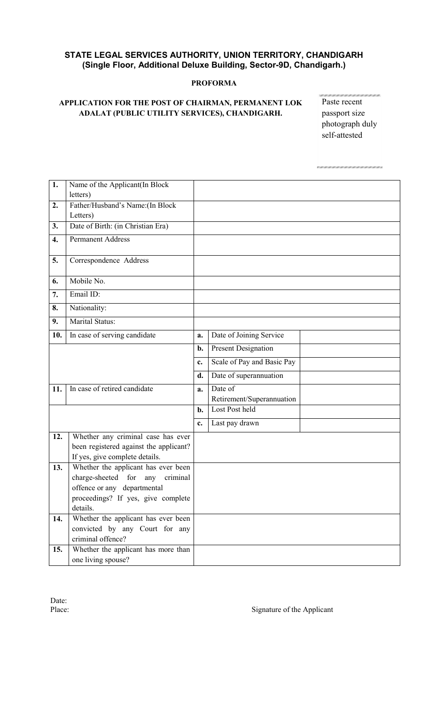## STATE LEGAL SERVICES AUTHORITY, UNION TERRITORY, CHANDIGARH (Single Floor, Additional Deluxe Building, Sector-9D, Chandigarh.)

#### PROFORMA

# APPLICATION FOR THE POST OF CHAIRMAN, PERMANENT LOK ADALAT (PUBLIC UTILITY SERVICES), CHANDIGARH.

Paste recent passport size photograph duly self-attested

SI INTERNATIONAL INDIANA EN NOVEMBRA DE INDIANA EN 18

| 1.  | Name of the Applicant(In Block           |                |                            |  |
|-----|------------------------------------------|----------------|----------------------------|--|
|     | letters)                                 |                |                            |  |
| 2.  | Father/Husband's Name: (In Block         |                |                            |  |
|     | Letters)                                 |                |                            |  |
| 3.  | Date of Birth: (in Christian Era)        |                |                            |  |
| 4.  | <b>Permanent Address</b>                 |                |                            |  |
| 5.  | Correspondence Address                   |                |                            |  |
| 6.  | Mobile No.                               |                |                            |  |
| 7.  | Email ID:                                |                |                            |  |
| 8.  | Nationality:                             |                |                            |  |
| 9.  | Marital Status:                          |                |                            |  |
| 10. | In case of serving candidate             | a.             | Date of Joining Service    |  |
|     |                                          | b.             | <b>Present Designation</b> |  |
|     |                                          | $\mathbf{c}$ . | Scale of Pay and Basic Pay |  |
|     |                                          | d.             | Date of superannuation     |  |
| 11. | In case of retired candidate             | a.             | Date of                    |  |
|     |                                          |                | Retirement/Superannuation  |  |
|     |                                          | b.             | Lost Post held             |  |
|     |                                          | c.             | Last pay drawn             |  |
| 12. | Whether any criminal case has ever       |                |                            |  |
|     | been registered against the applicant?   |                |                            |  |
|     | If yes, give complete details.           |                |                            |  |
| 13. | Whether the applicant has ever been      |                |                            |  |
|     | charge-sheeted<br>for<br>any<br>criminal |                |                            |  |
|     | offence or any departmental              |                |                            |  |
|     | proceedings? If yes, give complete       |                |                            |  |
|     | details.                                 |                |                            |  |
| 14. | Whether the applicant has ever been      |                |                            |  |
|     | convicted by any Court for any           |                |                            |  |
|     | criminal offence?                        |                |                            |  |
| 15. | Whether the applicant has more than      |                |                            |  |
|     | one living spouse?                       |                |                            |  |

Date:<br>Place:

Signature of the Applicant